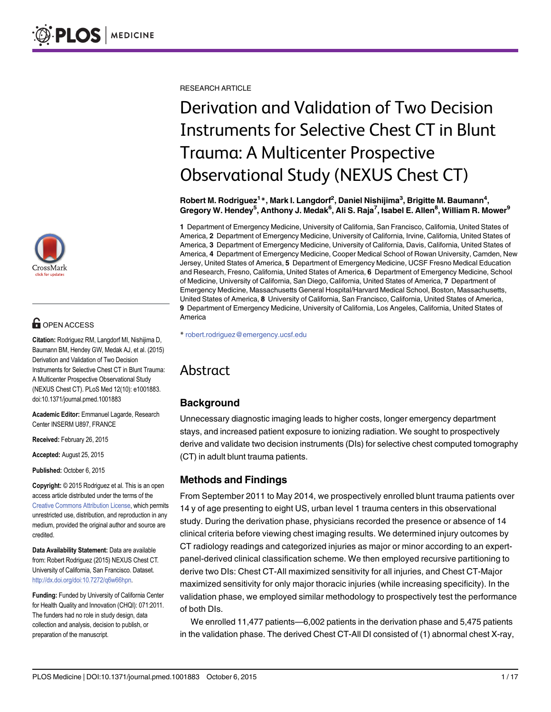

## **G** OPEN ACCESS

Citation: Rodriguez RM, Langdorf MI, Nishijima D, Baumann BM, Hendey GW, Medak AJ, et al. (2015) Derivation and Validation of Two Decision Instruments for Selective Chest CT in Blunt Trauma: A Multicenter Prospective Observational Study (NEXUS Chest CT). PLoS Med 12(10): e1001883. doi:10.1371/journal.pmed.1001883

Academic Editor: Emmanuel Lagarde, Research Center INSERM U897, FRANCE

Received: February 26, 2015

Accepted: August 25, 2015

Published: October 6, 2015

Copyright: © 2015 Rodriguez et al. This is an open access article distributed under the terms of the [Creative Commons Attribution License,](http://creativecommons.org/licenses/by/4.0/) which permits unrestricted use, distribution, and reproduction in any medium, provided the original author and source are credited.

Data Availability Statement: Data are available from: Robert Rodriguez (2015) NEXUS Chest CT. University of California, San Francisco. Dataset. [http://dx.doi.org/doi:10.7272/q6w66hpn.](http://dx.doi.org/doi:10.7272/q6w66hpn)

Funding: Funded by University of California Center for Health Quality and Innovation (CHQI): 071:2011. The funders had no role in study design, data collection and analysis, decision to publish, or preparation of the manuscript.

RESEARCH ARTICLE

# Derivation and Validation of Two Decision Instruments for Selective Chest CT in Blunt Trauma: A Multicenter Prospective Observational Study (NEXUS Chest CT)

Robert M. Rodriguez $^{\mathsf{1}}$ \*, Mark I. Langdorf $^{\mathsf{2}}$ , Daniel Nishijima $^{\mathsf{3}},$  Brigitte M. Baumann $^{\mathsf{4}},$ Gregory W. Hendey<sup>5</sup>, Anthony J. Medak<sup>6</sup>, Ali S. Raja<sup>7</sup>, Isabel E. Allen<sup>8</sup>, William R. Mower<sup>9</sup>

1 Department of Emergency Medicine, University of California, San Francisco, California, United States of America, 2 Department of Emergency Medicine, University of California, Irvine, California, United States of America, 3 Department of Emergency Medicine, University of California, Davis, California, United States of America, 4 Department of Emergency Medicine, Cooper Medical School of Rowan University, Camden, New Jersey, United States of America, 5 Department of Emergency Medicine, UCSF Fresno Medical Education and Research, Fresno, California, United States of America, 6 Department of Emergency Medicine, School of Medicine, University of California, San Diego, California, United States of America, 7 Department of Emergency Medicine, Massachusetts General Hospital/Harvard Medical School, Boston, Massachusetts, United States of America, 8 University of California, San Francisco, California, United States of America, 9 Department of Emergency Medicine, University of California, Los Angeles, California, United States of America

\* robert.rodriguez@emergency.ucsf.edu

## Abstract

## **Background**

Unnecessary diagnostic imaging leads to higher costs, longer emergency department stays, and increased patient exposure to ionizing radiation. We sought to prospectively derive and validate two decision instruments (DIs) for selective chest computed tomography (CT) in adult blunt trauma patients.

## Methods and Findings

From September 2011 to May 2014, we prospectively enrolled blunt trauma patients over 14 y of age presenting to eight US, urban level 1 trauma centers in this observational study. During the derivation phase, physicians recorded the presence or absence of 14 clinical criteria before viewing chest imaging results. We determined injury outcomes by CT radiology readings and categorized injuries as major or minor according to an expertpanel-derived clinical classification scheme. We then employed recursive partitioning to derive two DIs: Chest CT-All maximized sensitivity for all injuries, and Chest CT-Major maximized sensitivity for only major thoracic injuries (while increasing specificity). In the validation phase, we employed similar methodology to prospectively test the performance of both DIs.

We enrolled 11,477 patients—6,002 patients in the derivation phase and 5,475 patients in the validation phase. The derived Chest CT-All DI consisted of (1) abnormal chest X-ray,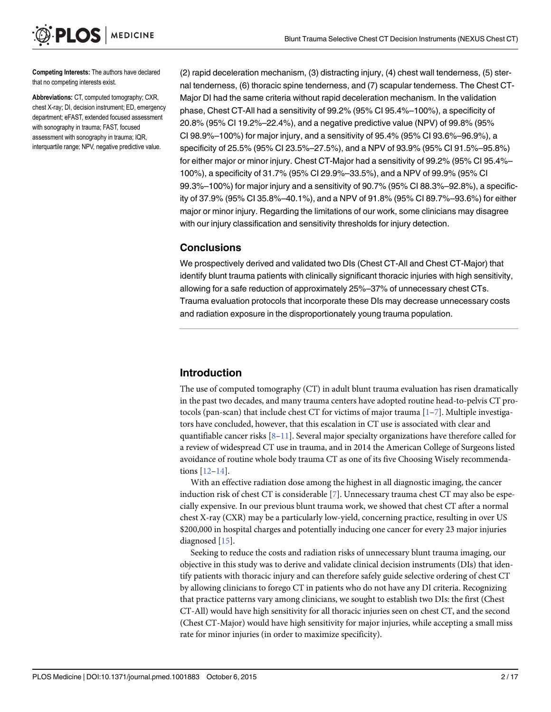<span id="page-1-0"></span>Competing Interests: The authors have declared that no competing interests exist.

Abbreviations: CT, computed tomography; CXR, chest X-ray; DI, decision instrument; ED, emergency department; eFAST, extended focused assessment with sonography in trauma; FAST, focused assessment with sonography in trauma; IQR, interquartile range; NPV, negative predictive value.

(2) rapid deceleration mechanism, (3) distracting injury, (4) chest wall tenderness, (5) sternal tenderness, (6) thoracic spine tenderness, and (7) scapular tenderness. The Chest CT-Major DI had the same criteria without rapid deceleration mechanism. In the validation phase, Chest CT-All had a sensitivity of 99.2% (95% CI 95.4%–100%), a specificity of 20.8% (95% CI 19.2%–22.4%), and a negative predictive value (NPV) of 99.8% (95% CI 98.9%–100%) for major injury, and a sensitivity of 95.4% (95% CI 93.6%–96.9%), a specificity of 25.5% (95% CI 23.5%–27.5%), and a NPV of 93.9% (95% CI 91.5%–95.8%) for either major or minor injury. Chest CT-Major had a sensitivity of 99.2% (95% CI 95.4%– 100%), a specificity of 31.7% (95% CI 29.9%–33.5%), and a NPV of 99.9% (95% CI 99.3%–100%) for major injury and a sensitivity of 90.7% (95% CI 88.3%–92.8%), a specificity of 37.9% (95% CI 35.8%–40.1%), and a NPV of 91.8% (95% CI 89.7%–93.6%) for either major or minor injury. Regarding the limitations of our work, some clinicians may disagree with our injury classification and sensitivity thresholds for injury detection.

## **Conclusions**

We prospectively derived and validated two DIs (Chest CT-All and Chest CT-Major) that identify blunt trauma patients with clinically significant thoracic injuries with high sensitivity, allowing for a safe reduction of approximately 25%–37% of unnecessary chest CTs. Trauma evaluation protocols that incorporate these DIs may decrease unnecessary costs and radiation exposure in the disproportionately young trauma population.

## Introduction

The use of computed tomography (CT) in adult blunt trauma evaluation has risen dramatically in the past two decades, and many trauma centers have adopted routine head-to-pelvis CT protocols (pan-scan) that include chest CT for victims of major trauma  $[1-7]$  $[1-7]$  $[1-7]$  $[1-7]$ . Multiple investigators have concluded, however, that this escalation in CT use is associated with clear and quantifiable cancer risks  $[8-11]$  $[8-11]$  $[8-11]$  $[8-11]$  $[8-11]$ . Several major specialty organizations have therefore called for a review of widespread CT use in trauma, and in 2014 the American College of Surgeons listed avoidance of routine whole body trauma CT as one of its five Choosing Wisely recommendations [\[12](#page-13-0)–[14\]](#page-13-0).

With an effective radiation dose among the highest in all diagnostic imaging, the cancer induction risk of chest CT is considerable  $[7]$  $[7]$  $[7]$ . Unnecessary trauma chest CT may also be especially expensive. In our previous blunt trauma work, we showed that chest CT after a normal chest X-ray (CXR) may be a particularly low-yield, concerning practice, resulting in over US \$200,000 in hospital charges and potentially inducing one cancer for every 23 major injuries diagnosed [[15](#page-13-0)].

Seeking to reduce the costs and radiation risks of unnecessary blunt trauma imaging, our objective in this study was to derive and validate clinical decision instruments (DIs) that identify patients with thoracic injury and can therefore safely guide selective ordering of chest CT by allowing clinicians to forego CT in patients who do not have any DI criteria. Recognizing that practice patterns vary among clinicians, we sought to establish two DIs: the first (Chest CT-All) would have high sensitivity for all thoracic injuries seen on chest CT, and the second (Chest CT-Major) would have high sensitivity for major injuries, while accepting a small miss rate for minor injuries (in order to maximize specificity).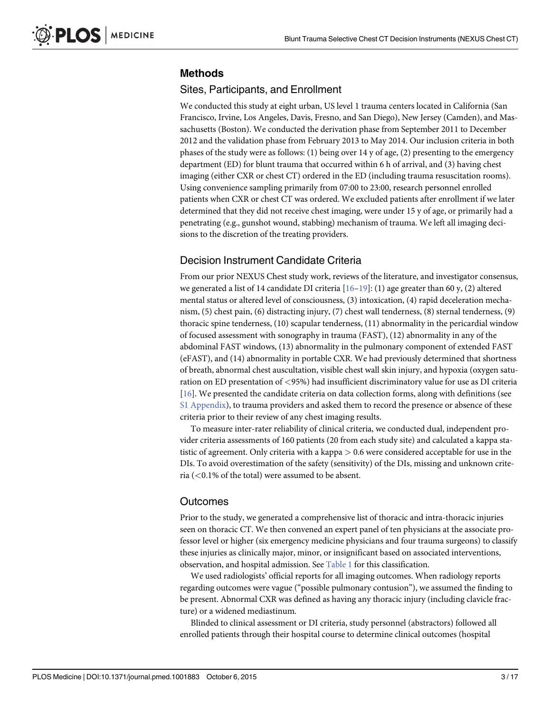## <span id="page-2-0"></span>Methods

## Sites, Participants, and Enrollment

We conducted this study at eight urban, US level 1 trauma centers located in California (San Francisco, Irvine, Los Angeles, Davis, Fresno, and San Diego), New Jersey (Camden), and Massachusetts (Boston). We conducted the derivation phase from September 2011 to December 2012 and the validation phase from February 2013 to May 2014. Our inclusion criteria in both phases of the study were as follows: (1) being over 14 y of age, (2) presenting to the emergency department (ED) for blunt trauma that occurred within 6 h of arrival, and (3) having chest imaging (either CXR or chest CT) ordered in the ED (including trauma resuscitation rooms). Using convenience sampling primarily from 07:00 to 23:00, research personnel enrolled patients when CXR or chest CT was ordered. We excluded patients after enrollment if we later determined that they did not receive chest imaging, were under 15 y of age, or primarily had a penetrating (e.g., gunshot wound, stabbing) mechanism of trauma. We left all imaging decisions to the discretion of the treating providers.

## Decision Instrument Candidate Criteria

From our prior NEXUS Chest study work, reviews of the literature, and investigator consensus, we generated a list of 14 candidate DI criteria  $[16-19]$  $[16-19]$  $[16-19]$  $[16-19]$ : (1) age greater than 60 y, (2) altered mental status or altered level of consciousness, (3) intoxication, (4) rapid deceleration mechanism, (5) chest pain, (6) distracting injury, (7) chest wall tenderness, (8) sternal tenderness, (9) thoracic spine tenderness, (10) scapular tenderness, (11) abnormality in the pericardial window of focused assessment with sonography in trauma (FAST), (12) abnormality in any of the abdominal FAST windows, (13) abnormality in the pulmonary component of extended FAST (eFAST), and (14) abnormality in portable CXR. We had previously determined that shortness of breath, abnormal chest auscultation, visible chest wall skin injury, and hypoxia (oxygen saturation on ED presentation of <95%) had insufficient discriminatory value for use as DI criteria [\[16](#page-13-0)]. We presented the candidate criteria on data collection forms, along with definitions (see [S1 Appendix](#page-12-0)), to trauma providers and asked them to record the presence or absence of these criteria prior to their review of any chest imaging results.

To measure inter-rater reliability of clinical criteria, we conducted dual, independent provider criteria assessments of 160 patients (20 from each study site) and calculated a kappa statistic of agreement. Only criteria with a kappa > 0.6 were considered acceptable for use in the DIs. To avoid overestimation of the safety (sensitivity) of the DIs, missing and unknown criteria (<0.1% of the total) were assumed to be absent.

## **Outcomes**

Prior to the study, we generated a comprehensive list of thoracic and intra-thoracic injuries seen on thoracic CT. We then convened an expert panel of ten physicians at the associate professor level or higher (six emergency medicine physicians and four trauma surgeons) to classify these injuries as clinically major, minor, or insignificant based on associated interventions, observation, and hospital admission. See [Table 1](#page-3-0) for this classification.

We used radiologists' official reports for all imaging outcomes. When radiology reports regarding outcomes were vague ("possible pulmonary contusion"), we assumed the finding to be present. Abnormal CXR was defined as having any thoracic injury (including clavicle fracture) or a widened mediastinum.

Blinded to clinical assessment or DI criteria, study personnel (abstractors) followed all enrolled patients through their hospital course to determine clinical outcomes (hospital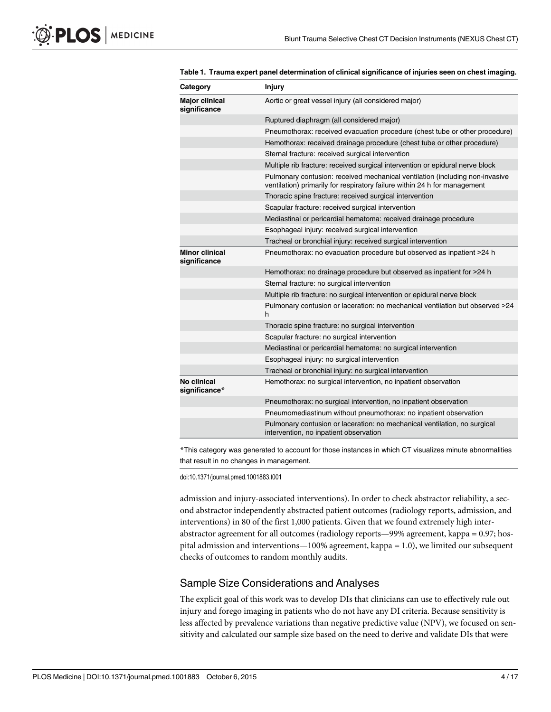| Category                              | <b>Injury</b>                                                                                                                                             |
|---------------------------------------|-----------------------------------------------------------------------------------------------------------------------------------------------------------|
| <b>Major clinical</b><br>significance | Aortic or great vessel injury (all considered major)                                                                                                      |
|                                       | Ruptured diaphragm (all considered major)                                                                                                                 |
|                                       | Pneumothorax: received evacuation procedure (chest tube or other procedure)                                                                               |
|                                       | Hemothorax: received drainage procedure (chest tube or other procedure)                                                                                   |
|                                       | Sternal fracture: received surgical intervention                                                                                                          |
|                                       | Multiple rib fracture: received surgical intervention or epidural nerve block                                                                             |
|                                       | Pulmonary contusion: received mechanical ventilation (including non-invasive<br>ventilation) primarily for respiratory failure within 24 h for management |
|                                       | Thoracic spine fracture: received surgical intervention                                                                                                   |
|                                       | Scapular fracture: received surgical intervention                                                                                                         |
|                                       | Mediastinal or pericardial hematoma: received drainage procedure                                                                                          |
|                                       | Esophageal injury: received surgical intervention                                                                                                         |
|                                       | Tracheal or bronchial injury: received surgical intervention                                                                                              |
| <b>Minor clinical</b><br>significance | Pneumothorax: no evacuation procedure but observed as inpatient >24 h                                                                                     |
|                                       | Hemothorax: no drainage procedure but observed as inpatient for >24 h                                                                                     |
|                                       | Sternal fracture: no surgical intervention                                                                                                                |
|                                       | Multiple rib fracture: no surgical intervention or epidural nerve block                                                                                   |
|                                       | Pulmonary contusion or laceration: no mechanical ventilation but observed >24<br>h                                                                        |
|                                       | Thoracic spine fracture: no surgical intervention                                                                                                         |
|                                       | Scapular fracture: no surgical intervention                                                                                                               |
|                                       | Mediastinal or pericardial hematoma: no surgical intervention                                                                                             |
|                                       | Esophageal injury: no surgical intervention                                                                                                               |
|                                       | Tracheal or bronchial injury: no surgical intervention                                                                                                    |
| No clinical<br>significance*          | Hemothorax: no surgical intervention, no inpatient observation                                                                                            |
|                                       | Pneumothorax: no surgical intervention, no inpatient observation                                                                                          |
|                                       | Pneumomediastinum without pneumothorax: no inpatient observation                                                                                          |
|                                       | Pulmonary contusion or laceration: no mechanical ventilation, no surgical<br>intervention, no inpatient observation                                       |
|                                       |                                                                                                                                                           |

<span id="page-3-0"></span>[Table 1.](#page-2-0) Trauma expert panel determination of clinical significance of injuries seen on chest imaging.

\*This category was generated to account for those instances in which CT visualizes minute abnormalities that result in no changes in management.

doi:10.1371/journal.pmed.1001883.t001

admission and injury-associated interventions). In order to check abstractor reliability, a second abstractor independently abstracted patient outcomes (radiology reports, admission, and interventions) in 80 of the first 1,000 patients. Given that we found extremely high interabstractor agreement for all outcomes (radiology reports—99% agreement, kappa = 0.97; hospital admission and interventions—100% agreement, kappa = 1.0), we limited our subsequent checks of outcomes to random monthly audits.

## Sample Size Considerations and Analyses

The explicit goal of this work was to develop DIs that clinicians can use to effectively rule out injury and forego imaging in patients who do not have any DI criteria. Because sensitivity is less affected by prevalence variations than negative predictive value (NPV), we focused on sensitivity and calculated our sample size based on the need to derive and validate DIs that were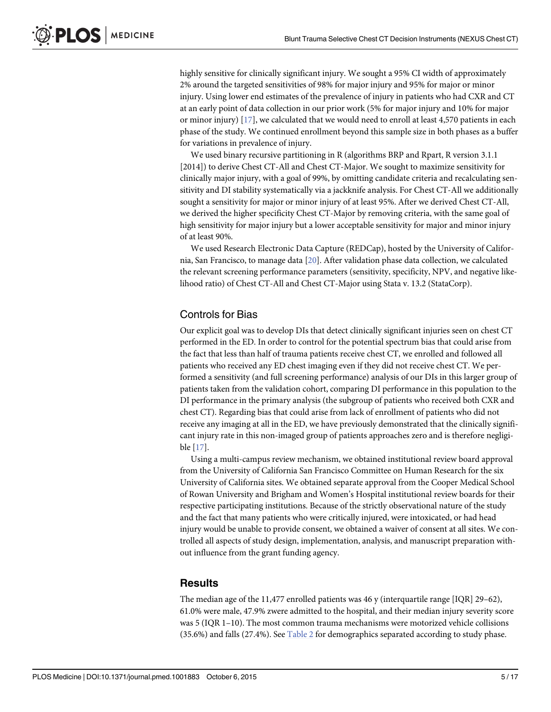<span id="page-4-0"></span>highly sensitive for clinically significant injury. We sought a 95% CI width of approximately 2% around the targeted sensitivities of 98% for major injury and 95% for major or minor injury. Using lower end estimates of the prevalence of injury in patients who had CXR and CT at an early point of data collection in our prior work (5% for major injury and 10% for major or minor injury) [[17\]](#page-13-0), we calculated that we would need to enroll at least 4,570 patients in each phase of the study. We continued enrollment beyond this sample size in both phases as a buffer for variations in prevalence of injury.

We used binary recursive partitioning in R (algorithms BRP and Rpart, R version 3.1.1 [2014]) to derive Chest CT-All and Chest CT-Major. We sought to maximize sensitivity for clinically major injury, with a goal of 99%, by omitting candidate criteria and recalculating sensitivity and DI stability systematically via a jackknife analysis. For Chest CT-All we additionally sought a sensitivity for major or minor injury of at least 95%. After we derived Chest CT-All, we derived the higher specificity Chest CT-Major by removing criteria, with the same goal of high sensitivity for major injury but a lower acceptable sensitivity for major and minor injury of at least 90%.

We used Research Electronic Data Capture (REDCap), hosted by the University of California, San Francisco, to manage data [\[20\]](#page-13-0). After validation phase data collection, we calculated the relevant screening performance parameters (sensitivity, specificity, NPV, and negative likelihood ratio) of Chest CT-All and Chest CT-Major using Stata v. 13.2 (StataCorp).

## Controls for Bias

Our explicit goal was to develop DIs that detect clinically significant injuries seen on chest CT performed in the ED. In order to control for the potential spectrum bias that could arise from the fact that less than half of trauma patients receive chest CT, we enrolled and followed all patients who received any ED chest imaging even if they did not receive chest CT. We performed a sensitivity (and full screening performance) analysis of our DIs in this larger group of patients taken from the validation cohort, comparing DI performance in this population to the DI performance in the primary analysis (the subgroup of patients who received both CXR and chest CT). Regarding bias that could arise from lack of enrollment of patients who did not receive any imaging at all in the ED, we have previously demonstrated that the clinically significant injury rate in this non-imaged group of patients approaches zero and is therefore negligible [\[17\]](#page-13-0).

Using a multi-campus review mechanism, we obtained institutional review board approval from the University of California San Francisco Committee on Human Research for the six University of California sites. We obtained separate approval from the Cooper Medical School of Rowan University and Brigham and Women's Hospital institutional review boards for their respective participating institutions. Because of the strictly observational nature of the study and the fact that many patients who were critically injured, were intoxicated, or had head injury would be unable to provide consent, we obtained a waiver of consent at all sites. We controlled all aspects of study design, implementation, analysis, and manuscript preparation without influence from the grant funding agency.

## **Results**

The median age of the 11,477 enrolled patients was 46 y (interquartile range [IQR] 29–62), 61.0% were male, 47.9% zwere admitted to the hospital, and their median injury severity score was 5 (IQR 1–10). The most common trauma mechanisms were motorized vehicle collisions (35.6%) and falls (27.4%). See [Table 2](#page-5-0) for demographics separated according to study phase.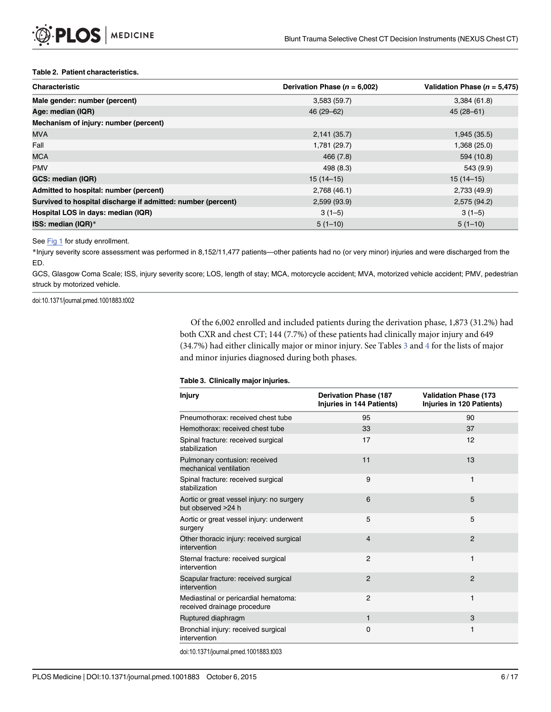#### <span id="page-5-0"></span>[Table 2.](#page-4-0) Patient characteristics.

| <b>Characteristic</b>                                        | Derivation Phase ( $n = 6,002$ ) | Validation Phase ( $n = 5.475$ ) |  |
|--------------------------------------------------------------|----------------------------------|----------------------------------|--|
| Male gender: number (percent)                                | 3,583(59.7)                      | 3,384(61.8)                      |  |
| Age: median (IQR)                                            | 46 (29 - 62)                     | $45(28 - 61)$                    |  |
| Mechanism of injury: number (percent)                        |                                  |                                  |  |
| <b>MVA</b>                                                   | 2,141(35.7)                      | 1,945 (35.5)                     |  |
| Fall                                                         | 1,781 (29.7)                     | 1,368 (25.0)                     |  |
| <b>MCA</b>                                                   | 466 (7.8)                        | 594 (10.8)                       |  |
| <b>PMV</b>                                                   | 498 (8.3)                        | 543 (9.9)                        |  |
| GCS: median (IQR)                                            | $15(14-15)$                      | $15(14-15)$                      |  |
| Admitted to hospital: number (percent)                       | 2,768 (46.1)                     | 2,733 (49.9)                     |  |
| Survived to hospital discharge if admitted: number (percent) | 2,599 (93.9)                     | 2,575 (94.2)                     |  |
| Hospital LOS in days: median (IQR)                           | $3(1-5)$                         | $3(1-5)$                         |  |
| ISS: median (IQR)*                                           | $5(1-10)$                        | $5(1-10)$                        |  |

#### See [Fig 1](#page-8-0) for study enrollment.

\*Injury severity score assessment was performed in 8,152/11,477 patients—other patients had no (or very minor) injuries and were discharged from the ED.

GCS, Glasgow Coma Scale; ISS, injury severity score; LOS, length of stay; MCA, motorcycle accident; MVA, motorized vehicle accident; PMV, pedestrian struck by motorized vehicle.

doi:10.1371/journal.pmed.1001883.t002

Of the 6,002 enrolled and included patients during the derivation phase, 1,873 (31.2%) had both CXR and chest CT; 144 (7.7%) of these patients had clinically major injury and 649 (3[4](#page-6-0).7%) had either clinically major or minor injury. See Tables  $\frac{3}{2}$  and  $\frac{4}{2}$  for the lists of major and minor injuries diagnosed during both phases.

#### Table 3. Clinically major injuries.

| <b>Injury</b>                                                       | <b>Derivation Phase (187</b><br>Injuries in 144 Patients) | <b>Validation Phase (173</b><br>Injuries in 120 Patients) |
|---------------------------------------------------------------------|-----------------------------------------------------------|-----------------------------------------------------------|
| Pneumothorax: received chest tube                                   | 95                                                        | 90                                                        |
| Hemothorax: received chest tube                                     | 33                                                        | 37                                                        |
| Spinal fracture: received surgical<br>stabilization                 | 17                                                        | 12                                                        |
| Pulmonary contusion: received<br>mechanical ventilation             | 11                                                        | 13                                                        |
| Spinal fracture: received surgical<br>stabilization                 | 9                                                         | 1                                                         |
| Aortic or great vessel injury: no surgery<br>but observed >24 h     | 6                                                         | 5                                                         |
| Aortic or great vessel injury: underwent<br>surgery                 | 5                                                         | 5                                                         |
| Other thoracic injury: received surgical<br>intervention            | $\overline{4}$                                            | $\overline{2}$                                            |
| Sternal fracture: received surgical<br>intervention                 | $\overline{2}$                                            | 1                                                         |
| Scapular fracture: received surgical<br>intervention                | $\mathcal{P}$                                             | $\mathcal{P}$                                             |
| Mediastinal or pericardial hematoma:<br>received drainage procedure | 2                                                         | 1                                                         |
| Ruptured diaphragm                                                  | $\mathbf{1}$                                              | 3                                                         |
| Bronchial injury: received surgical<br>intervention                 | $\Omega$                                                  | 1                                                         |

doi:10.1371/journal.pmed.1001883.t003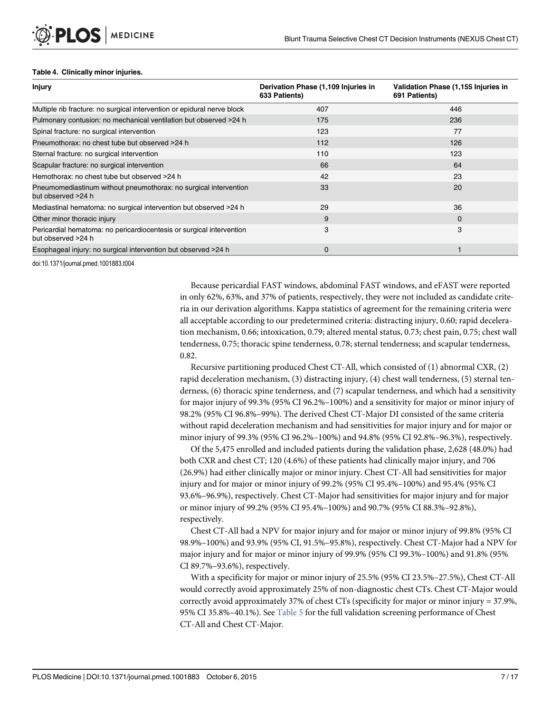#### <span id="page-6-0"></span>[Table 4.](#page-5-0) Clinically minor injuries.

| <b>Injury</b>                                                                              | Derivation Phase (1,109 Injuries in<br>633 Patients) | Validation Phase (1,155 Injuries in<br>691 Patients) |
|--------------------------------------------------------------------------------------------|------------------------------------------------------|------------------------------------------------------|
| Multiple rib fracture: no surgical intervention or epidural nerve block                    | 407                                                  | 446                                                  |
| Pulmonary contusion: no mechanical ventilation but observed >24 h                          | 175                                                  | 236                                                  |
| Spinal fracture: no surgical intervention                                                  | 123                                                  | 77                                                   |
| Pneumothorax: no chest tube but observed >24 h                                             | 112                                                  | 126                                                  |
| Sternal fracture: no surgical intervention                                                 | 110                                                  | 123                                                  |
| Scapular fracture: no surgical intervention                                                | 66                                                   | 64                                                   |
| Hemothorax: no chest tube but observed >24 h                                               | 42                                                   | 23                                                   |
| Pneumomediastinum without pneumothorax: no surgical intervention<br>but observed >24 h     | 33                                                   | 20                                                   |
| Mediastinal hematoma: no surgical intervention but observed >24 h                          | 29                                                   | 36                                                   |
| Other minor thoracic injury                                                                | 9                                                    | $\Omega$                                             |
| Pericardial hematoma: no pericardiocentesis or surgical intervention<br>but observed >24 h | 3                                                    | 3                                                    |
| Esophageal injury: no surgical intervention but observed >24 h                             | 0                                                    |                                                      |

doi:10.1371/journal.pmed.1001883.t004

Because pericardial FAST windows, abdominal FAST windows, and eFAST were reported in only 62%, 63%, and 37% of patients, respectively, they were not included as candidate criteria in our derivation algorithms. Kappa statistics of agreement for the remaining criteria were all acceptable according to our predetermined criteria: distracting injury, 0.60; rapid deceleration mechanism, 0.66; intoxication, 0.79; altered mental status, 0.73; chest pain, 0.75; chest wall tenderness, 0.75; thoracic spine tenderness, 0.78; sternal tenderness; and scapular tenderness, 0.82.

Recursive partitioning produced Chest CT-All, which consisted of (1) abnormal CXR, (2) rapid deceleration mechanism, (3) distracting injury, (4) chest wall tenderness, (5) sternal tenderness, (6) thoracic spine tenderness, and (7) scapular tenderness, and which had a sensitivity for major injury of 99.3% (95% CI 96.2%–100%) and a sensitivity for major or minor injury of 98.2% (95% CI 96.8%–99%). The derived Chest CT-Major DI consisted of the same criteria without rapid deceleration mechanism and had sensitivities for major injury and for major or minor injury of 99.3% (95% CI 96.2%–100%) and 94.8% (95% CI 92.8%–96.3%), respectively.

Of the 5,475 enrolled and included patients during the validation phase, 2,628 (48.0%) had both CXR and chest CT; 120 (4.6%) of these patients had clinically major injury, and 706 (26.9%) had either clinically major or minor injury. Chest CT-All had sensitivities for major injury and for major or minor injury of 99.2% (95% CI 95.4%–100%) and 95.4% (95% CI 93.6%–96.9%), respectively. Chest CT-Major had sensitivities for major injury and for major or minor injury of 99.2% (95% CI 95.4%–100%) and 90.7% (95% CI 88.3%–92.8%), respectively.

Chest CT-All had a NPV for major injury and for major or minor injury of 99.8% (95% CI 98.9%–100%) and 93.9% (95% CI, 91.5%–95.8%), respectively. Chest CT-Major had a NPV for major injury and for major or minor injury of 99.9% (95% CI 99.3%–100%) and 91.8% (95% CI 89.7%–93.6%), respectively.

With a specificity for major or minor injury of 25.5% (95% CI 23.5%–27.5%), Chest CT-All would correctly avoid approximately 25% of non-diagnostic chest CTs. Chest CT-Major would correctly avoid approximately 37% of chest CTs (specificity for major or minor injury = 37.9%, 95% CI 35.8%-40.1%). See [Table 5](#page-7-0) for the full validation screening performance of Chest CT-All and Chest CT-Major.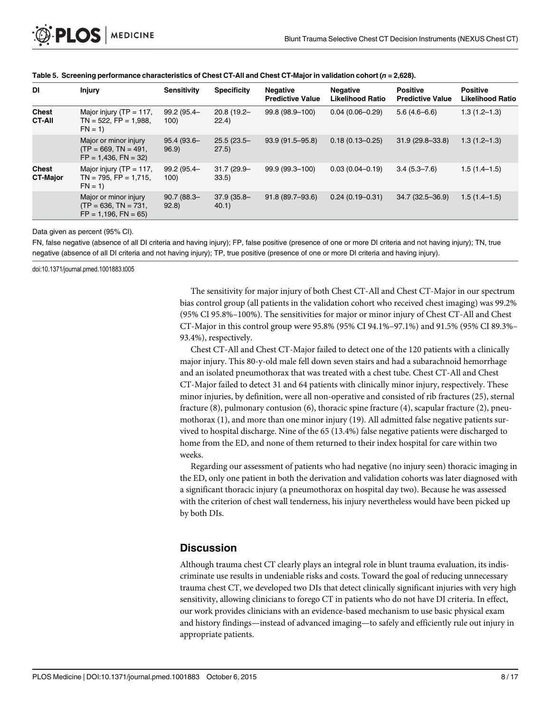| DI                              | <b>Injury</b>                                                                 | <b>Sensitivity</b>    | <b>Specificity</b>      | <b>Negative</b><br><b>Predictive Value</b> | <b>Negative</b><br><b>Likelihood Ratio</b> | <b>Positive</b><br><b>Predictive Value</b> | <b>Positive</b><br><b>Likelihood Ratio</b> |
|---------------------------------|-------------------------------------------------------------------------------|-----------------------|-------------------------|--------------------------------------------|--------------------------------------------|--------------------------------------------|--------------------------------------------|
| <b>Chest</b><br><b>CT-AII</b>   | Major injury ( $TP = 117$ ,<br>$TN = 522$ , $FP = 1,988$ ,<br>$FN = 1$        | 99.2 (95.4-<br>100)   | $20.8(19.2 -$<br>22.4)  | 99.8 (98.9-100)                            | $0.04(0.06 - 0.29)$                        | $5.6(4.6-6.6)$                             | $1.3(1.2 - 1.3)$                           |
|                                 | Major or minor injury<br>$(TP = 669, TN = 491,$<br>$FP = 1,436$ , $FN = 32$ ) | 95.4 (93.6-<br>96.9   | $25.5(23.5 -$<br>(27.5) | $93.9(91.5 - 95.8)$                        | $0.18(0.13 - 0.25)$                        | $31.9(29.8 - 33.8)$                        | $1.3(1.2 - 1.3)$                           |
| <b>Chest</b><br><b>CT-Major</b> | Major injury ( $TP = 117$ ,<br>$TN = 795$ , $FP = 1,715$ ,<br>$FN = 1$        | 99.2 (95.4-<br>100)   | $31.7(29.9 -$<br>33.5)  | 99.9 (99.3-100)                            | $0.03(0.04 - 0.19)$                        | $3.4(5.3 - 7.6)$                           | $1.5(1.4-1.5)$                             |
|                                 | Major or minor injury<br>$(TP = 636, TN = 731,$<br>$FP = 1,196$ , $FN = 65$   | $90.7(88.3 -$<br>92.8 | $37.9(35.8 -$<br>40.1)  | 91.8 (89.7-93.6)                           | $0.24(0.19 - 0.31)$                        | 34.7 (32.5-36.9)                           | $1.5(1.4-1.5)$                             |

<span id="page-7-0"></span>

| Table 5. Screening performance characteristics of Chest CT-All and Chest CT-Major in validation cohort ( $n = 2,628$ ). |  |  |
|-------------------------------------------------------------------------------------------------------------------------|--|--|
|-------------------------------------------------------------------------------------------------------------------------|--|--|

Data given as percent (95% CI).

FN, false negative (absence of all DI criteria and having injury); FP, false positive (presence of one or more DI criteria and not having injury); TN, true negative (absence of all DI criteria and not having injury); TP, true positive (presence of one or more DI criteria and having injury).

doi:10.1371/journal.pmed.1001883.t005

The sensitivity for major injury of both Chest CT-All and Chest CT-Major in our spectrum bias control group (all patients in the validation cohort who received chest imaging) was 99.2% (95% CI 95.8%–100%). The sensitivities for major or minor injury of Chest CT-All and Chest CT-Major in this control group were 95.8% (95% CI 94.1%–97.1%) and 91.5% (95% CI 89.3%– 93.4%), respectively.

Chest CT-All and Chest CT-Major failed to detect one of the 120 patients with a clinically major injury. This 80-y-old male fell down seven stairs and had a subarachnoid hemorrhage and an isolated pneumothorax that was treated with a chest tube. Chest CT-All and Chest CT-Major failed to detect 31 and 64 patients with clinically minor injury, respectively. These minor injuries, by definition, were all non-operative and consisted of rib fractures (25), sternal fracture (8), pulmonary contusion (6), thoracic spine fracture (4), scapular fracture (2), pneumothorax (1), and more than one minor injury (19). All admitted false negative patients survived to hospital discharge. Nine of the 65 (13.4%) false negative patients were discharged to home from the ED, and none of them returned to their index hospital for care within two weeks.

Regarding our assessment of patients who had negative (no injury seen) thoracic imaging in the ED, only one patient in both the derivation and validation cohorts was later diagnosed with a significant thoracic injury (a pneumothorax on hospital day two). Because he was assessed with the criterion of chest wall tenderness, his injury nevertheless would have been picked up by both DIs.

## **Discussion**

Although trauma chest CT clearly plays an integral role in blunt trauma evaluation, its indiscriminate use results in undeniable risks and costs. Toward the goal of reducing unnecessary trauma chest CT, we developed two DIs that detect clinically significant injuries with very high sensitivity, allowing clinicians to forego CT in patients who do not have DI criteria. In effect, our work provides clinicians with an evidence-based mechanism to use basic physical exam and history findings—instead of advanced imaging—to safely and efficiently rule out injury in appropriate patients.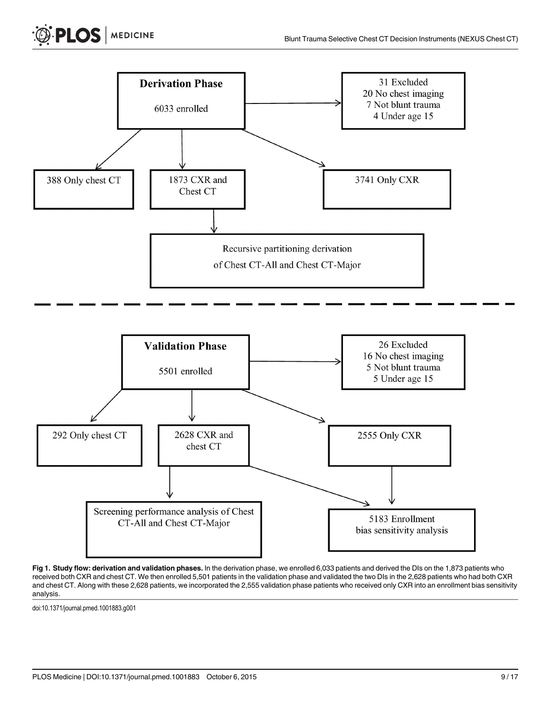<span id="page-8-0"></span>



[Fig 1. S](#page-5-0)tudy flow: derivation and validation phases. In the derivation phase, we enrolled 6,033 patients and derived the DIs on the 1,873 patients who received both CXR and chest CT. We then enrolled 5,501 patients in the validation phase and validated the two DIs in the 2,628 patients who had both CXR and chest CT. Along with these 2,628 patients, we incorporated the 2,555 validation phase patients who received only CXR into an enrollment bias sensitivity analysis.

doi:10.1371/journal.pmed.1001883.g001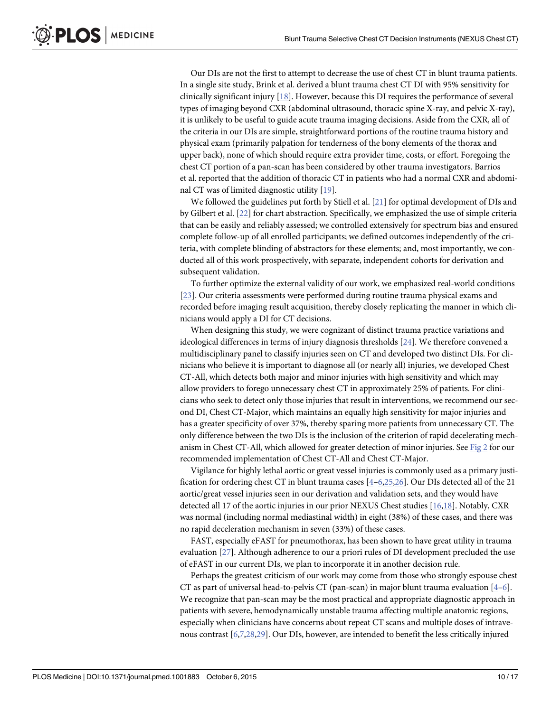<span id="page-9-0"></span>Our DIs are not the first to attempt to decrease the use of chest CT in blunt trauma patients. In a single site study, Brink et al. derived a blunt trauma chest CT DI with 95% sensitivity for clinically significant injury  $[18]$  $[18]$  $[18]$ . However, because this DI requires the performance of several types of imaging beyond CXR (abdominal ultrasound, thoracic spine X-ray, and pelvic X-ray), it is unlikely to be useful to guide acute trauma imaging decisions. Aside from the CXR, all of the criteria in our DIs are simple, straightforward portions of the routine trauma history and physical exam (primarily palpation for tenderness of the bony elements of the thorax and upper back), none of which should require extra provider time, costs, or effort. Foregoing the chest CT portion of a pan-scan has been considered by other trauma investigators. Barrios et al. reported that the addition of thoracic CT in patients who had a normal CXR and abdominal CT was of limited diagnostic utility [\[19\]](#page-13-0).

We followed the guidelines put forth by Stiell et al.  $[21]$  $[21]$  $[21]$  for optimal development of DIs and by Gilbert et al. [\[22\]](#page-13-0) for chart abstraction. Specifically, we emphasized the use of simple criteria that can be easily and reliably assessed; we controlled extensively for spectrum bias and ensured complete follow-up of all enrolled participants; we defined outcomes independently of the criteria, with complete blinding of abstractors for these elements; and, most importantly, we conducted all of this work prospectively, with separate, independent cohorts for derivation and subsequent validation.

To further optimize the external validity of our work, we emphasized real-world conditions [\[23](#page-13-0)]. Our criteria assessments were performed during routine trauma physical exams and recorded before imaging result acquisition, thereby closely replicating the manner in which clinicians would apply a DI for CT decisions.

When designing this study, we were cognizant of distinct trauma practice variations and ideological differences in terms of injury diagnosis thresholds [\[24\]](#page-13-0). We therefore convened a multidisciplinary panel to classify injuries seen on CT and developed two distinct DIs. For clinicians who believe it is important to diagnose all (or nearly all) injuries, we developed Chest CT-All, which detects both major and minor injuries with high sensitivity and which may allow providers to forego unnecessary chest CT in approximately 25% of patients. For clinicians who seek to detect only those injuries that result in interventions, we recommend our second DI, Chest CT-Major, which maintains an equally high sensitivity for major injuries and has a greater specificity of over 37%, thereby sparing more patients from unnecessary CT. The only difference between the two DIs is the inclusion of the criterion of rapid decelerating mechanism in Chest CT-All, which allowed for greater detection of minor injuries. See [Fig 2](#page-10-0) for our recommended implementation of Chest CT-All and Chest CT-Major.

Vigilance for highly lethal aortic or great vessel injuries is commonly used as a primary justification for ordering chest CT in blunt trauma cases  $[4-6,25,26]$  $[4-6,25,26]$  $[4-6,25,26]$ . Our DIs detected all of the 21 aortic/great vessel injuries seen in our derivation and validation sets, and they would have detected all 17 of the aortic injuries in our prior NEXUS Chest studies [\[16,18](#page-13-0)]. Notably, CXR was normal (including normal mediastinal width) in eight (38%) of these cases, and there was no rapid deceleration mechanism in seven (33%) of these cases.

FAST, especially eFAST for pneumothorax, has been shown to have great utility in trauma evaluation [[27\]](#page-14-0). Although adherence to our a priori rules of DI development precluded the use of eFAST in our current DIs, we plan to incorporate it in another decision rule.

Perhaps the greatest criticism of our work may come from those who strongly espouse chest CT as part of universal head-to-pelvis CT (pan-scan) in major blunt trauma evaluation  $[4-6]$  $[4-6]$  $[4-6]$  $[4-6]$ . We recognize that pan-scan may be the most practical and appropriate diagnostic approach in patients with severe, hemodynamically unstable trauma affecting multiple anatomic regions, especially when clinicians have concerns about repeat CT scans and multiple doses of intravenous contrast [\[6,7](#page-13-0)[,28,29\]](#page-14-0). Our DIs, however, are intended to benefit the less critically injured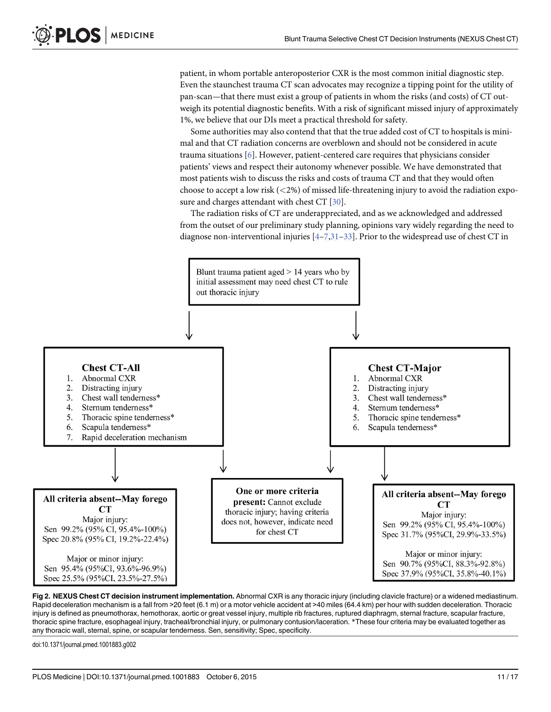<span id="page-10-0"></span>patient, in whom portable anteroposterior CXR is the most common initial diagnostic step. Even the staunchest trauma CT scan advocates may recognize a tipping point for the utility of pan-scan—that there must exist a group of patients in whom the risks (and costs) of CT outweigh its potential diagnostic benefits. With a risk of significant missed injury of approximately 1%, we believe that our DIs meet a practical threshold for safety.

Some authorities may also contend that that the true added cost of CT to hospitals is minimal and that CT radiation concerns are overblown and should not be considered in acute trauma situations [\[6](#page-13-0)]. However, patient-centered care requires that physicians consider patients' views and respect their autonomy whenever possible. We have demonstrated that most patients wish to discuss the risks and costs of trauma CT and that they would often choose to accept a low risk  $(<2\%)$  of missed life-threatening injury to avoid the radiation expo-sure and charges attendant with chest CT [\[30\]](#page-14-0).

The radiation risks of CT are underappreciated, and as we acknowledged and addressed from the outset of our preliminary study planning, opinions vary widely regarding the need to diagnose non-interventional injuries  $[4 - 7,31 - 33]$  $[4 - 7,31 - 33]$  $[4 - 7,31 - 33]$  $[4 - 7,31 - 33]$  $[4 - 7,31 - 33]$  $[4 - 7,31 - 33]$  $[4 - 7,31 - 33]$ . Prior to the widespread use of chest CT in



[Fig 2. N](#page-9-0)EXUS Chest CT decision instrument implementation. Abnormal CXR is any thoracic injury (including clavicle fracture) or a widened mediastinum. Rapid deceleration mechanism is a fall from >20 feet (6.1 m) or a motor vehicle accident at >40 miles (64.4 km) per hour with sudden deceleration. Thoracic injury is defined as pneumothorax, hemothorax, aortic or great vessel injury, multiple rib fractures, ruptured diaphragm, sternal fracture, scapular fracture, thoracic spine fracture, esophageal injury, tracheal/bronchial injury, or pulmonary contusion/laceration. \*These four criteria may be evaluated together as any thoracic wall, sternal, spine, or scapular tenderness. Sen, sensitivity; Spec, specificity.

doi:10.1371/journal.pmed.1001883.g002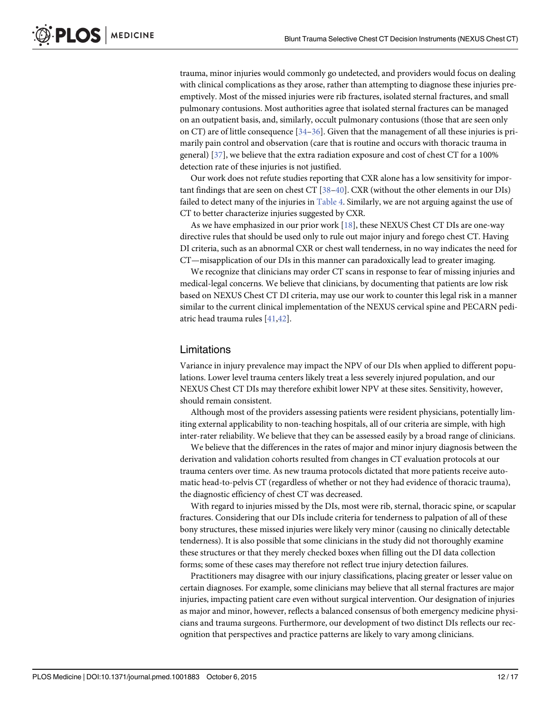<span id="page-11-0"></span>trauma, minor injuries would commonly go undetected, and providers would focus on dealing with clinical complications as they arose, rather than attempting to diagnose these injuries preemptively. Most of the missed injuries were rib fractures, isolated sternal fractures, and small pulmonary contusions. Most authorities agree that isolated sternal fractures can be managed on an outpatient basis, and, similarly, occult pulmonary contusions (those that are seen only on CT) are of little consequence  $[34–36]$  $[34–36]$  $[34–36]$  $[34–36]$ . Given that the management of all these injuries is primarily pain control and observation (care that is routine and occurs with thoracic trauma in general) [[37\]](#page-14-0), we believe that the extra radiation exposure and cost of chest CT for a 100% detection rate of these injuries is not justified.

Our work does not refute studies reporting that CXR alone has a low sensitivity for important findings that are seen on chest CT [\[38](#page-14-0)–[40](#page-14-0)]. CXR (without the other elements in our DIs) failed to detect many of the injuries in [Table 4](#page-6-0). Similarly, we are not arguing against the use of CT to better characterize injuries suggested by CXR.

As we have emphasized in our prior work [\[18\]](#page-13-0), these NEXUS Chest CT DIs are one-way directive rules that should be used only to rule out major injury and forego chest CT. Having DI criteria, such as an abnormal CXR or chest wall tenderness, in no way indicates the need for CT—misapplication of our DIs in this manner can paradoxically lead to greater imaging.

We recognize that clinicians may order CT scans in response to fear of missing injuries and medical-legal concerns. We believe that clinicians, by documenting that patients are low risk based on NEXUS Chest CT DI criteria, may use our work to counter this legal risk in a manner similar to the current clinical implementation of the NEXUS cervical spine and PECARN pediatric head trauma rules [\[41,42\]](#page-14-0).

#### Limitations

Variance in injury prevalence may impact the NPV of our DIs when applied to different populations. Lower level trauma centers likely treat a less severely injured population, and our NEXUS Chest CT DIs may therefore exhibit lower NPV at these sites. Sensitivity, however, should remain consistent.

Although most of the providers assessing patients were resident physicians, potentially limiting external applicability to non-teaching hospitals, all of our criteria are simple, with high inter-rater reliability. We believe that they can be assessed easily by a broad range of clinicians.

We believe that the differences in the rates of major and minor injury diagnosis between the derivation and validation cohorts resulted from changes in CT evaluation protocols at our trauma centers over time. As new trauma protocols dictated that more patients receive automatic head-to-pelvis CT (regardless of whether or not they had evidence of thoracic trauma), the diagnostic efficiency of chest CT was decreased.

With regard to injuries missed by the DIs, most were rib, sternal, thoracic spine, or scapular fractures. Considering that our DIs include criteria for tenderness to palpation of all of these bony structures, these missed injuries were likely very minor (causing no clinically detectable tenderness). It is also possible that some clinicians in the study did not thoroughly examine these structures or that they merely checked boxes when filling out the DI data collection forms; some of these cases may therefore not reflect true injury detection failures.

Practitioners may disagree with our injury classifications, placing greater or lesser value on certain diagnoses. For example, some clinicians may believe that all sternal fractures are major injuries, impacting patient care even without surgical intervention. Our designation of injuries as major and minor, however, reflects a balanced consensus of both emergency medicine physicians and trauma surgeons. Furthermore, our development of two distinct DIs reflects our recognition that perspectives and practice patterns are likely to vary among clinicians.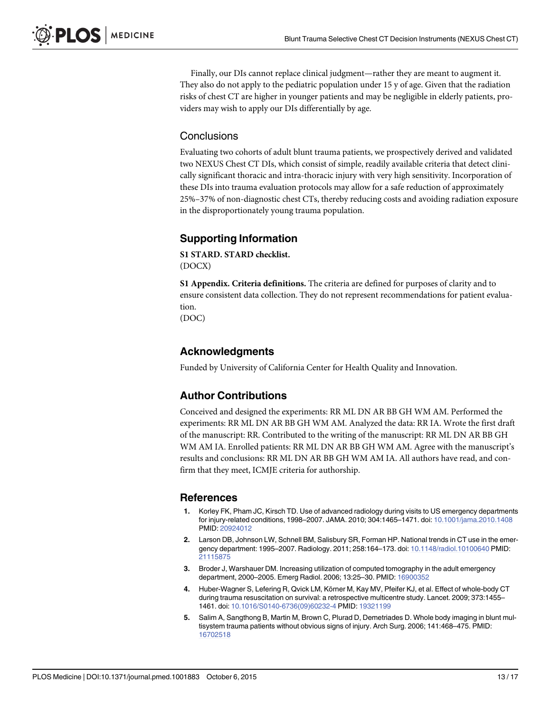<span id="page-12-0"></span>Finally, our DIs cannot replace clinical judgment—rather they are meant to augment it. They also do not apply to the pediatric population under 15 y of age. Given that the radiation risks of chest CT are higher in younger patients and may be negligible in elderly patients, providers may wish to apply our DIs differentially by age.

## **Conclusions**

Evaluating two cohorts of adult blunt trauma patients, we prospectively derived and validated two NEXUS Chest CT DIs, which consist of simple, readily available criteria that detect clinically significant thoracic and intra-thoracic injury with very high sensitivity. Incorporation of these DIs into trauma evaluation protocols may allow for a safe reduction of approximately 25%–37% of non-diagnostic chest CTs, thereby reducing costs and avoiding radiation exposure in the disproportionately young trauma population.

## Supporting Information

[S1 STARD.](http://www.plosone.org/article/fetchSingleRepresentation.action?uri=info:doi/10.1371/journal.pmed.1001883.s001) STARD checklist. (DOCX)

[S1 Appendix.](http://www.plosone.org/article/fetchSingleRepresentation.action?uri=info:doi/10.1371/journal.pmed.1001883.s002) Criteria definitions. The criteria are defined for purposes of clarity and to ensure consistent data collection. They do not represent recommendations for patient evaluation. (DOC)

## Acknowledgments

Funded by University of California Center for Health Quality and Innovation.

## Author Contributions

Conceived and designed the experiments: RR ML DN AR BB GH WM AM. Performed the experiments: RR ML DN AR BB GH WM AM. Analyzed the data: RR IA. Wrote the first draft of the manuscript: RR. Contributed to the writing of the manuscript: RR ML DN AR BB GH WM AM IA. Enrolled patients: RR ML DN AR BB GH WM AM. Agree with the manuscript's results and conclusions: RR ML DN AR BB GH WM AM IA. All authors have read, and confirm that they meet, ICMJE criteria for authorship.

#### References

- [1.](#page-1-0) Korley FK, Pham JC, Kirsch TD. Use of advanced radiology during visits to US emergency departments for injury-related conditions, 1998–2007. JAMA. 2010; 304:1465–1471. doi: [10.1001/jama.2010.1408](http://dx.doi.org/10.1001/jama.2010.1408) PMID: [20924012](http://www.ncbi.nlm.nih.gov/pubmed/20924012)
- 2. Larson DB, Johnson LW, Schnell BM, Salisbury SR, Forman HP. National trends in CT use in the emergency department: 1995–2007. Radiology. 2011; 258:164–173. doi: [10.1148/radiol.10100640](http://dx.doi.org/10.1148/radiol.10100640) PMID: [21115875](http://www.ncbi.nlm.nih.gov/pubmed/21115875)
- 3. Broder J, Warshauer DM. Increasing utilization of computed tomography in the adult emergency department, 2000–2005. Emerg Radiol. 2006; 13:25–30. PMID: [16900352](http://www.ncbi.nlm.nih.gov/pubmed/16900352)
- [4.](#page-9-0) Huber-Wagner S, Lefering R, Qvick LM, Körner M, Kay MV, Pfeifer KJ, et al. Effect of whole-body CT during trauma resuscitation on survival: a retrospective multicentre study. Lancet. 2009; 373:1455– 1461. doi: [10.1016/S0140-6736\(09\)60232-4](http://dx.doi.org/10.1016/S0140-6736(09)60232-4) PMID: [19321199](http://www.ncbi.nlm.nih.gov/pubmed/19321199)
- 5. Salim A, Sangthong B, Martin M, Brown C, Plurad D, Demetriades D. Whole body imaging in blunt multisystem trauma patients without obvious signs of injury. Arch Surg. 2006; 141:468–475. PMID: [16702518](http://www.ncbi.nlm.nih.gov/pubmed/16702518)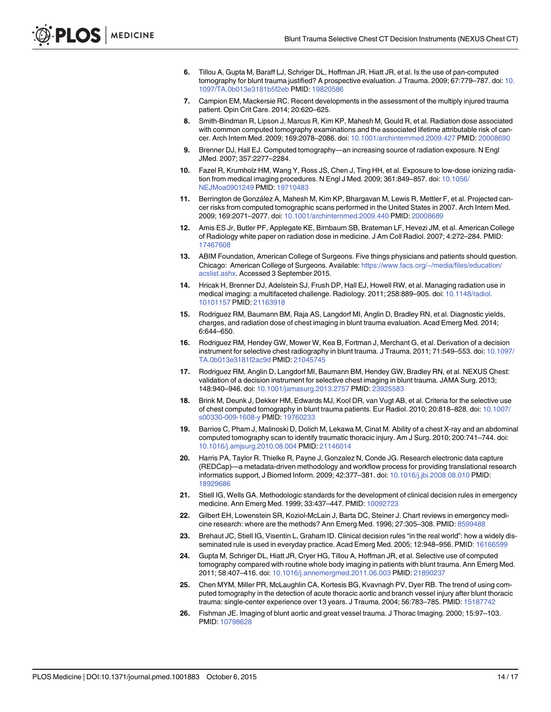- <span id="page-13-0"></span>[6.](#page-9-0) Tillou A, Gupta M, Baraff LJ, Schriger DL, Hoffman JR, Hiatt JR, et al. Is the use of pan-computed tomography for blunt trauma justified? A prospective evaluation. J Trauma. 2009; 67:779–787. doi: [10.](http://dx.doi.org/10.1097/TA.0b013e3181b5f2eb) [1097/TA.0b013e3181b5f2eb](http://dx.doi.org/10.1097/TA.0b013e3181b5f2eb) PMID: [19820586](http://www.ncbi.nlm.nih.gov/pubmed/19820586)
- [7.](#page-1-0) Campion EM, Mackersie RC. Recent developments in the assessment of the multiply injured trauma patient. Opin Crit Care. 2014; 20:620–625.
- [8.](#page-1-0) Smith-Bindman R, Lipson J, Marcus R, Kim KP, Mahesh M, Gould R, et al. Radiation dose associated with common computed tomography examinations and the associated lifetime attributable risk of cancer. Arch Intern Med. 2009; 169:2078–2086. doi: [10.1001/archinternmed.2009.427](http://dx.doi.org/10.1001/archinternmed.2009.427) PMID: [20008690](http://www.ncbi.nlm.nih.gov/pubmed/20008690)
- 9. Brenner DJ, Hall EJ. Computed tomography—an increasing source of radiation exposure. N Engl JMed. 2007; 357:2277–2284.
- 10. Fazel R, Krumholz HM, Wang Y, Ross JS, Chen J, Ting HH, et al. Exposure to low-dose ionizing radiation from medical imaging procedures. N Engl J Med. 2009; 361:849–857. doi: [10.1056/](http://dx.doi.org/10.1056/NEJMoa0901249) [NEJMoa0901249](http://dx.doi.org/10.1056/NEJMoa0901249) PMID: [19710483](http://www.ncbi.nlm.nih.gov/pubmed/19710483)
- [11.](#page-1-0) Berrington de González A, Mahesh M, Kim KP, Bhargavan M, Lewis R, Mettler F, et al. Projected cancer risks from computed tomographic scans performed in the United States in 2007. Arch Intern Med. 2009; 169:2071–2077. doi: [10.1001/archinternmed.2009.440](http://dx.doi.org/10.1001/archinternmed.2009.440) PMID: [20008689](http://www.ncbi.nlm.nih.gov/pubmed/20008689)
- [12.](#page-1-0) Amis ES Jr, Butler PF, Applegate KE, Birnbaum SB, Brateman LF, Hevezi JM, et al. American College of Radiology white paper on radiation dose in medicine. J Am Coll Radiol. 2007; 4:272–284. PMID: [17467608](http://www.ncbi.nlm.nih.gov/pubmed/17467608)
- 13. ABIM Foundation, American College of Surgeons. Five things physicians and patients should question. Chicago: American College of Surgeons. Available: [https://www.facs.org/~/media/files/education/](https://www.facs.org/~/media/files/education/acslist.ashx) [acslist.ashx.](https://www.facs.org/~/media/files/education/acslist.ashx) Accessed 3 September 2015.
- [14.](#page-1-0) Hricak H, Brenner DJ, Adelstein SJ, Frush DP, Hall EJ, Howell RW, et al. Managing radiation use in medical imaging: a multifaceted challenge. Radiology. 2011; 258:889–905. doi: [10.1148/radiol.](http://dx.doi.org/10.1148/radiol.10101157) [10101157](http://dx.doi.org/10.1148/radiol.10101157) PMID: [21163918](http://www.ncbi.nlm.nih.gov/pubmed/21163918)
- [15.](#page-1-0) Rodriguez RM, Baumann BM, Raja AS, Langdorf MI, Anglin D, Bradley RN, et al. Diagnostic yields, charges, and radiation dose of chest imaging in blunt trauma evaluation. Acad Emerg Med. 2014; 6:644–650.
- [16.](#page-2-0) Rodriguez RM, Hendey GW, Mower W, Kea B, Fortman J, Merchant G, et al. Derivation of a decision instrument for selective chest radiography in blunt trauma. J Trauma. 2011; 71:549–553. doi: [10.1097/](http://dx.doi.org/10.1097/TA.0b013e3181f2ac9d) [TA.0b013e3181f2ac9d](http://dx.doi.org/10.1097/TA.0b013e3181f2ac9d) PMID: [21045745](http://www.ncbi.nlm.nih.gov/pubmed/21045745)
- [17.](#page-4-0) Rodriguez RM, Anglin D, Langdorf MI, Baumann BM, Hendey GW, Bradley RN, et al. NEXUS Chest: validation of a decision instrument for selective chest imaging in blunt trauma. JAMA Surg. 2013; 148:940–946. doi: [10.1001/jamasurg.2013.2757](http://dx.doi.org/10.1001/jamasurg.2013.2757) PMID: [23925583](http://www.ncbi.nlm.nih.gov/pubmed/23925583)
- [18.](#page-9-0) Brink M, Deunk J, Dekker HM, Edwards MJ, Kool DR, van Vugt AB, et al. Criteria for the selective use of chest computed tomography in blunt trauma patients. Eur Radiol. 2010; 20:818–828. doi: [10.1007/](http://dx.doi.org/10.1007/s00330-009-1608-y) [s00330-009-1608-y](http://dx.doi.org/10.1007/s00330-009-1608-y) PMID: [19760233](http://www.ncbi.nlm.nih.gov/pubmed/19760233)
- [19.](#page-2-0) Barrios C, Pham J, Malinoski D, Dolich M, Lekawa M, Cinat M. Ability of a chest X-ray and an abdominal computed tomography scan to identify traumatic thoracic injury. Am J Surg. 2010; 200:741–744. doi: [10.1016/j.amjsurg.2010.08.004](http://dx.doi.org/10.1016/j.amjsurg.2010.08.004) PMID: [21146014](http://www.ncbi.nlm.nih.gov/pubmed/21146014)
- [20.](#page-4-0) Harris PA, Taylor R. Thielke R, Payne J, Gonzalez N, Conde JG. Research electronic data capture (REDCap)—a metadata-driven methodology and workflow process for providing translational research informatics support, J Biomed Inform. 2009; 42:377–381. doi: [10.1016/j.jbi.2008.08.010](http://dx.doi.org/10.1016/j.jbi.2008.08.010) PMID: [18929686](http://www.ncbi.nlm.nih.gov/pubmed/18929686)
- [21.](#page-9-0) Stiell IG, Wells GA. Methodologic standards for the development of clinical decision rules in emergency medicine. Ann Emerg Med. 1999; 33:437–447. PMID: [10092723](http://www.ncbi.nlm.nih.gov/pubmed/10092723)
- [22.](#page-9-0) Gilbert EH, Lowenstein SR, Koziol-McLain J, Barta DC, Steiner J. Chart reviews in emergency medicine research: where are the methods? Ann Emerg Med. 1996; 27:305–308. PMID: [8599488](http://www.ncbi.nlm.nih.gov/pubmed/8599488)
- [23.](#page-9-0) Brehaut JC, Stiell IG, Visentin L, Graham ID. Clinical decision rules "in the real world": how a widely dis-seminated rule is used in everyday practice. Acad Emerg Med. 2005; 12:948-956. PMID: [16166599](http://www.ncbi.nlm.nih.gov/pubmed/16166599)
- [24.](#page-9-0) Gupta M, Schriger DL, Hiatt JR, Cryer HG, Tillou A, Hoffman JR, et al. Selective use of computed tomography compared with routine whole body imaging in patients with blunt trauma. Ann Emerg Med. 2011; 58:407–416. doi: [10.1016/j.annemergmed.2011.06.003](http://dx.doi.org/10.1016/j.annemergmed.2011.06.003) PMID: [21890237](http://www.ncbi.nlm.nih.gov/pubmed/21890237)
- [25.](#page-9-0) Chen MYM, Miller PR, McLaughlin CA, Kortesis BG, Kvavnagh PV, Dyer RB. The trend of using computed tomography in the detection of acute thoracic aortic and branch vessel injury after blunt thoracic trauma: single-center experience over 13 years. J Trauma. 2004; 56:783–785. PMID: [15187742](http://www.ncbi.nlm.nih.gov/pubmed/15187742)
- [26.](#page-9-0) Fishman JE. Imaging of blunt aortic and great vessel trauma. J Thorac Imaging. 2000; 15:97–103. PMID: [10798628](http://www.ncbi.nlm.nih.gov/pubmed/10798628)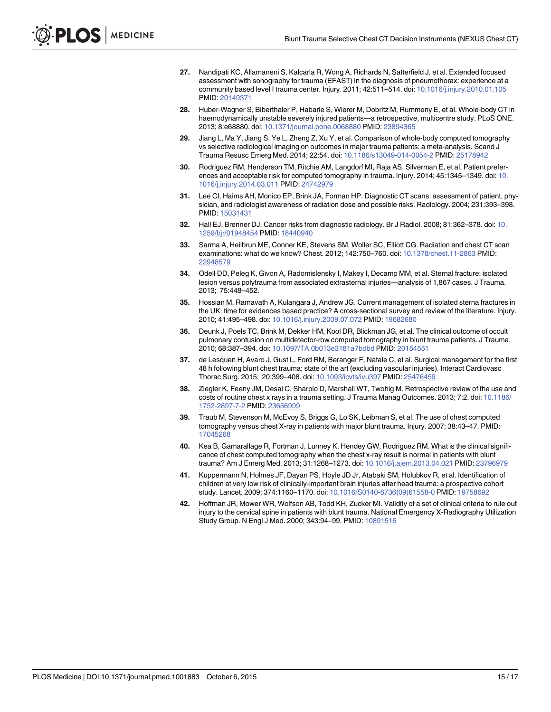- <span id="page-14-0"></span>[27.](#page-9-0) Nandipati KC, Allamaneni S, Kalcarla R, Wong A, Richards N, Satterfield J, et al. Extended focused assessment with sonography for trauma (EFAST) in the diagnosis of pneumothorax: experience at a community based level I trauma center. Injury. 2011; 42:511–514. doi: [10.1016/j.injury.2010.01.105](http://dx.doi.org/10.1016/j.injury.2010.01.105) PMID: [20149371](http://www.ncbi.nlm.nih.gov/pubmed/20149371)
- [28.](#page-9-0) Huber-Wagner S, Biberthaler P, Habarle S, Wierer M, Dobritz M, Rummeny E, et al. Whole-body CT in haemodynamically unstable severely injured patients—a retrospective, multicentre study. PLoS ONE. 2013; 8:e68880. doi: [10.1371/journal.pone.0068880](http://dx.doi.org/10.1371/journal.pone.0068880) PMID: [23894365](http://www.ncbi.nlm.nih.gov/pubmed/23894365)
- [29.](#page-9-0) Jiang L, Ma Y, Jiang S, Ye L, Zheng Z, Xu Y, et al. Comparison of whole-body computed tomography vs selective radiological imaging on outcomes in major trauma patients: a meta-analysis. Scand J Trauma Resusc Emerg Med. 2014; 22:54. doi: [10.1186/s13049-014-0054-2](http://dx.doi.org/10.1186/s13049-014-0054-2) PMID: [25178942](http://www.ncbi.nlm.nih.gov/pubmed/25178942)
- [30.](#page-10-0) Rodriguez RM, Henderson TM, Ritchie AM, Langdorf MI, Raja AS, Silverman E, et al. Patient preferences and acceptable risk for computed tomography in trauma. Injury. 2014; 45:1345–1349. doi: [10.](http://dx.doi.org/10.1016/j.injury.2014.03.011) [1016/j.injury.2014.03.011](http://dx.doi.org/10.1016/j.injury.2014.03.011) PMID: [24742979](http://www.ncbi.nlm.nih.gov/pubmed/24742979)
- [31.](#page-10-0) Lee CI, Haims AH, Monico EP, Brink JA, Forman HP. Diagnostic CT scans: assessment of patient, physician, and radiologist awareness of radiation dose and possible risks. Radiology. 2004; 231:393–398. PMID: [15031431](http://www.ncbi.nlm.nih.gov/pubmed/15031431)
- 32. Hall EJ, Brenner DJ. Cancer risks from diagnostic radiology. Br J Radiol. 2008; 81:362–378. doi: [10.](http://dx.doi.org/10.1259/bjr/01948454) [1259/bjr/01948454](http://dx.doi.org/10.1259/bjr/01948454) PMID: [18440940](http://www.ncbi.nlm.nih.gov/pubmed/18440940)
- [33.](#page-10-0) Sarma A, Heilbrun ME, Conner KE, Stevens SM, Woller SC, Elliott CG. Radiation and chest CT scan examinations: what do we know? Chest. 2012; 142:750–760. doi: [10.1378/chest.11-2863](http://dx.doi.org/10.1378/chest.11-2863) PMID: [22948579](http://www.ncbi.nlm.nih.gov/pubmed/22948579)
- [34.](#page-11-0) Odell DD, Peleg K, Givon A, Radomislensky I, Makey I, Decamp MM, et al. Sternal fracture: isolated lesion versus polytrauma from associated extrasternal injuries—analysis of 1,867 cases. J Trauma. 2013; 75:448–452.
- 35. Hossian M, Ramavath A, Kulangara J, Andrew JG. Current management of isolated sterna fractures in the UK: time for evidences based practice? A cross-sectional survey and review of the literature. Injury. 2010; 41:495–498. doi: [10.1016/j.injury.2009.07.072](http://dx.doi.org/10.1016/j.injury.2009.07.072) PMID: [19682680](http://www.ncbi.nlm.nih.gov/pubmed/19682680)
- [36.](#page-11-0) Deunk J, Poels TC, Brink M, Dekker HM, Kool DR, Blickman JG, et al. The clinical outcome of occult pulmonary contusion on multidetector-row computed tomography in blunt trauma patients. J Trauma. 2010; 68:387–394. doi: [10.1097/TA.0b013e3181a7bdbd](http://dx.doi.org/10.1097/TA.0b013e3181a7bdbd) PMID: [20154551](http://www.ncbi.nlm.nih.gov/pubmed/20154551)
- [37.](#page-11-0) de Lesquen H, Avaro J, Gust L, Ford RM, Beranger F, Natale C, et al. Surgical management for the first 48 h following blunt chest trauma: state of the art (excluding vascular injuries). Interact Cardiovasc Thorac Surg. 2015; 20:399–408. doi: [10.1093/icvts/ivu397](http://dx.doi.org/10.1093/icvts/ivu397) PMID: [25476459](http://www.ncbi.nlm.nih.gov/pubmed/25476459)
- [38.](#page-11-0) Ziegler K, Feeny JM, Desai C, Sharpio D, Marshall WT, Twohig M. Retrospective review of the use and costs of routine chest x rays in a trauma setting. J Trauma Manag Outcomes. 2013; 7:2. doi: [10.1186/](http://dx.doi.org/10.1186/1752-2897-7-2) [1752-2897-7-2](http://dx.doi.org/10.1186/1752-2897-7-2) PMID: [23656999](http://www.ncbi.nlm.nih.gov/pubmed/23656999)
- 39. Traub M, Stevenson M, McEvoy S, Briggs G, Lo SK, Leibman S, et al. The use of chest computed tomography versus chest X-ray in patients with major blunt trauma. Injury. 2007; 38:43–47. PMID: [17045268](http://www.ncbi.nlm.nih.gov/pubmed/17045268)
- [40.](#page-11-0) Kea B, Gamarallage R, Fortman J, Lunney K, Hendey GW, Rodriguez RM. What is the clinical significance of chest computed tomography when the chest x-ray result is normal in patients with blunt trauma? Am J Emerg Med. 2013; 31:1268–1273. doi: [10.1016/j.ajem.2013.04.021](http://dx.doi.org/10.1016/j.ajem.2013.04.021) PMID: [23796979](http://www.ncbi.nlm.nih.gov/pubmed/23796979)
- [41.](#page-11-0) Kuppermann N, Holmes JF, Dayan PS, Hoyle JD Jr, Atabaki SM, Holubkov R, et al. Identification of children at very low risk of clinically-important brain injuries after head trauma: a prospective cohort study. Lancet. 2009; 374:1160–1170. doi: [10.1016/S0140-6736\(09\)61558-0](http://dx.doi.org/10.1016/S0140-6736(09)61558-0) PMID: [19758692](http://www.ncbi.nlm.nih.gov/pubmed/19758692)
- [42.](#page-11-0) Hoffman JR, Mower WR, Wolfson AB, Todd KH, Zucker MI. Validity of a set of clinical criteria to rule out injury to the cervical spine in patients with blunt trauma. National Emergency X-Radiography Utilization Study Group. N Engl J Med. 2000; 343:94–99. PMID: [10891516](http://www.ncbi.nlm.nih.gov/pubmed/10891516)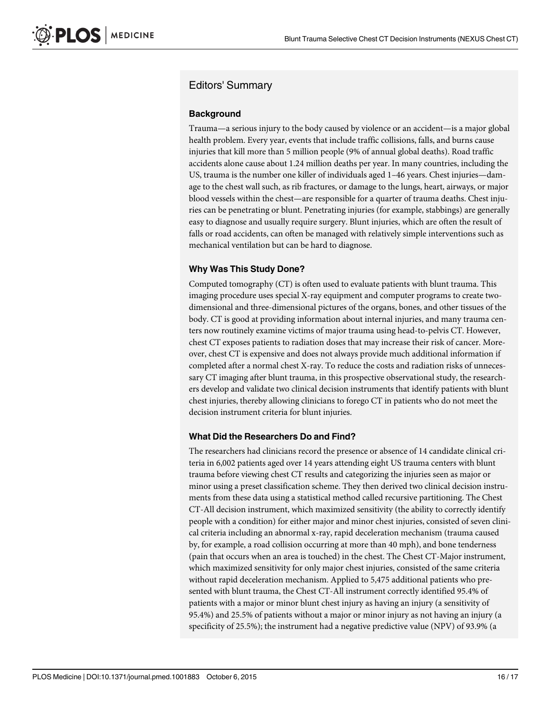## Editors' Summary

#### **Background**

Trauma—a serious injury to the body caused by violence or an accident—is a major global health problem. Every year, events that include traffic collisions, falls, and burns cause injuries that kill more than 5 million people (9% of annual global deaths). Road traffic accidents alone cause about 1.24 million deaths per year. In many countries, including the US, trauma is the number one killer of individuals aged 1–46 years. Chest injuries—damage to the chest wall such, as rib fractures, or damage to the lungs, heart, airways, or major blood vessels within the chest—are responsible for a quarter of trauma deaths. Chest injuries can be penetrating or blunt. Penetrating injuries (for example, stabbings) are generally easy to diagnose and usually require surgery. Blunt injuries, which are often the result of falls or road accidents, can often be managed with relatively simple interventions such as mechanical ventilation but can be hard to diagnose.

#### Why Was This Study Done?

Computed tomography (CT) is often used to evaluate patients with blunt trauma. This imaging procedure uses special X-ray equipment and computer programs to create twodimensional and three-dimensional pictures of the organs, bones, and other tissues of the body. CT is good at providing information about internal injuries, and many trauma centers now routinely examine victims of major trauma using head-to-pelvis CT. However, chest CT exposes patients to radiation doses that may increase their risk of cancer. Moreover, chest CT is expensive and does not always provide much additional information if completed after a normal chest X-ray. To reduce the costs and radiation risks of unnecessary CT imaging after blunt trauma, in this prospective observational study, the researchers develop and validate two clinical decision instruments that identify patients with blunt chest injuries, thereby allowing clinicians to forego CT in patients who do not meet the decision instrument criteria for blunt injuries.

#### What Did the Researchers Do and Find?

The researchers had clinicians record the presence or absence of 14 candidate clinical criteria in 6,002 patients aged over 14 years attending eight US trauma centers with blunt trauma before viewing chest CT results and categorizing the injuries seen as major or minor using a preset classification scheme. They then derived two clinical decision instruments from these data using a statistical method called recursive partitioning. The Chest CT-All decision instrument, which maximized sensitivity (the ability to correctly identify people with a condition) for either major and minor chest injuries, consisted of seven clinical criteria including an abnormal x-ray, rapid deceleration mechanism (trauma caused by, for example, a road collision occurring at more than 40 mph), and bone tenderness (pain that occurs when an area is touched) in the chest. The Chest CT-Major instrument, which maximized sensitivity for only major chest injuries, consisted of the same criteria without rapid deceleration mechanism. Applied to 5,475 additional patients who presented with blunt trauma, the Chest CT-All instrument correctly identified 95.4% of patients with a major or minor blunt chest injury as having an injury (a sensitivity of 95.4%) and 25.5% of patients without a major or minor injury as not having an injury (a specificity of 25.5%); the instrument had a negative predictive value (NPV) of 93.9% (a